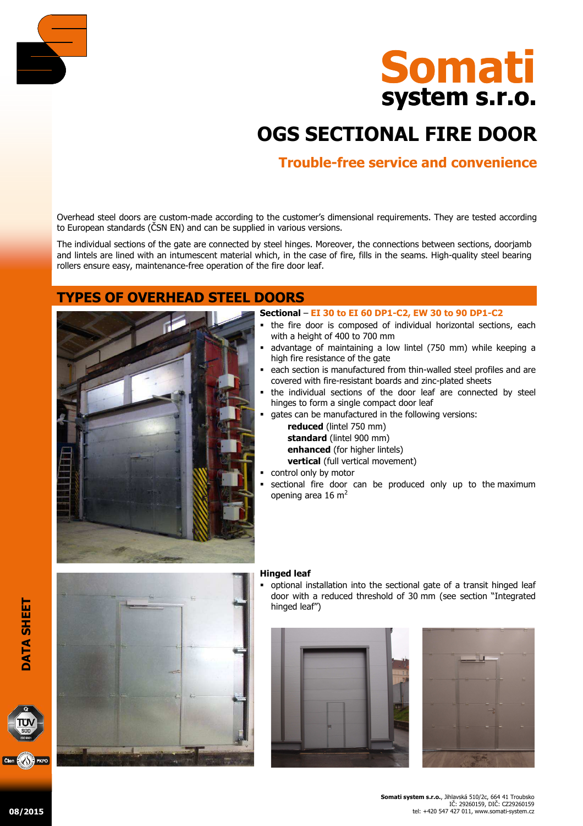



# **OGS SECTIONAL FIRE DOOR**

**Trouble-free service and convenience**

Overhead steel doors are custom-made according to the customer's dimensional requirements. They are tested according to European standards (ČSN EN) and can be supplied in various versions.

The individual sections of the gate are connected by steel hinges. Moreover, the connections between sections, doorjamb and lintels are lined with an intumescent material which, in the case of fire, fills in the seams. High-quality steel bearing rollers ensure easy, maintenance-free operation of the fire door leaf.

## **TYPES OF OVERHEAD STEEL DOORS**



#### **Sectional** – **EI 30 to EI 60 DP1-C2, EW 30 to 90 DP1-C2**

- the fire door is composed of individual horizontal sections, each with a height of 400 to 700 mm
- advantage of maintaining a low lintel (750 mm) while keeping a high fire resistance of the gate
- each section is manufactured from thin-walled steel profiles and are covered with fire-resistant boards and zinc-plated sheets
- the individual sections of the door leaf are connected by steel hinges to form a single compact door leaf
- gates can be manufactured in the following versions:

**reduced** (lintel 750 mm) **standard** (lintel 900 mm) **enhanced** (for higher lintels) **vertical** (full vertical movement)

- control only by motor
- sectional fire door can be produced only up to the maximum opening area 16  $m<sup>2</sup>$



#### **Hinged leaf**

 optional installation into the sectional gate of a transit hinged leaf door with a reduced threshold of 30 mm (see section "Integrated hinged leaf")





**Somati system s.r.o.**, Jihlavská 510/2c, 664 41 Troubsko IČ: 29260159, DIČ: CZ29260159 tel: +420 547 427 011, www.somati-system.cz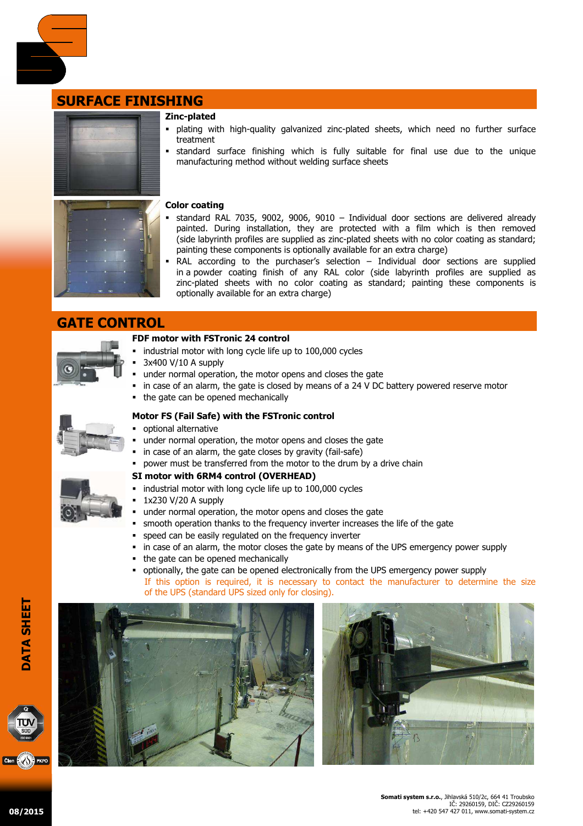

## **SURFACE FINISHING**



#### **Color coating**

**Zinc-plated** 

treatment

 standard RAL 7035, 9002, 9006, 9010 – Individual door sections are delivered already painted. During installation, they are protected with a film which is then removed (side labyrinth profiles are supplied as zinc-plated sheets with no color coating as standard; painting these components is optionally available for an extra charge)

plating with high-quality galvanized zinc-plated sheets, which need no further surface

standard surface finishing which is fully suitable for final use due to the unique

RAL according to the purchaser's selection  $-$  Individual door sections are supplied in a powder coating finish of any RAL color (side labyrinth profiles are supplied as zinc-plated sheets with no color coating as standard; painting these components is optionally available for an extra charge)

## **GATE CONTROL**



#### **FDF motor with FSTronic 24 control**

- industrial motor with long cycle life up to 100,000 cycles
- 3x400 V/10 A supply
- under normal operation, the motor opens and closes the gate
- in case of an alarm, the gate is closed by means of a 24 V DC battery powered reserve motor
- the gate can be opened mechanically

## **Motor FS (Fail Safe) with the FSTronic control**

- optional alternative
- under normal operation, the motor opens and closes the gate
- in case of an alarm, the gate closes by gravity (fail-safe)
- power must be transferred from the motor to the drum by a drive chain

manufacturing method without welding surface sheets

#### **SI motor with 6RM4 control (OVERHEAD)**

- industrial motor with long cycle life up to 100,000 cycles
- 1x230 V/20 A supply
- under normal operation, the motor opens and closes the gate
- smooth operation thanks to the frequency inverter increases the life of the gate
- speed can be easily regulated on the frequency inverter
- in case of an alarm, the motor closes the gate by means of the UPS emergency power supply
- the gate can be opened mechanically
- optionally, the gate can be opened electronically from the UPS emergency power supply If this option is required, it is necessary to contact the manufacturer to determine the size of the UPS (standard UPS sized only for closing).







**08/2015**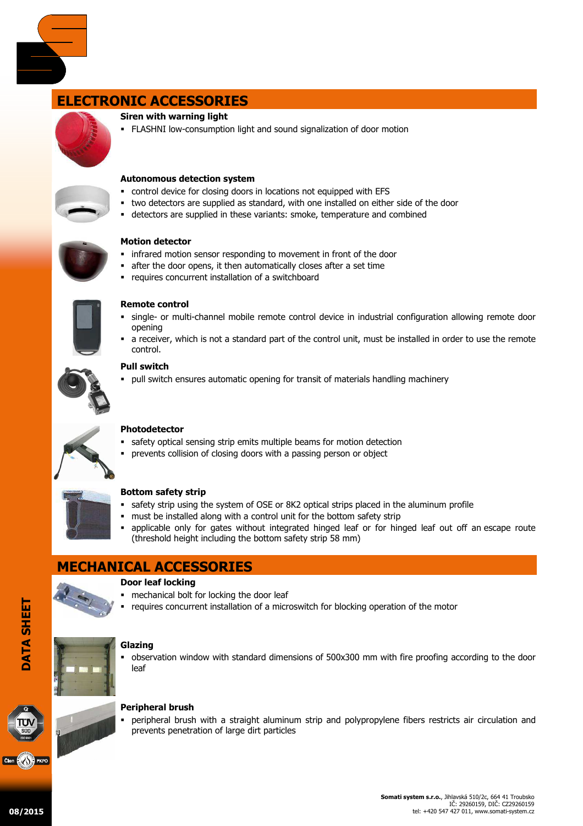

## **ELECTRONIC ACCESSORIES**

#### **Siren with warning light**

FLASHNI low-consumption light and sound signalization of door motion



#### **Autonomous detection system**

- control device for closing doors in locations not equipped with EFS
- two detectors are supplied as standard, with one installed on either side of the door
- detectors are supplied in these variants: smoke, temperature and combined



#### **Motion detector**

- **·** infrared motion sensor responding to movement in front of the door
- after the door opens, it then automatically closes after a set time
- requires concurrent installation of a switchboard



#### **Remote control**

- single- or multi-channel mobile remote control device in industrial configuration allowing remote door opening
- a receiver, which is not a standard part of the control unit, must be installed in order to use the remote control.

#### **Pull switch**

pull switch ensures automatic opening for transit of materials handling machinery



#### **Photodetector**

- safety optical sensing strip emits multiple beams for motion detection
- prevents collision of closing doors with a passing person or object



#### **Bottom safety strip**

- safety strip using the system of OSE or 8K2 optical strips placed in the aluminum profile
- must be installed along with a control unit for the bottom safety strip
- applicable only for gates without integrated hinged leaf or for hinged leaf out off an escape route (threshold height including the bottom safety strip 58 mm)

### **MECHANICAL ACCESSORIES**

#### **Door leaf locking**

- mechanical bolt for locking the door leaf
- requires concurrent installation of a microswitch for blocking operation of the motor



#### **Glazing**

 observation window with standard dimensions of 500x300 mm with fire proofing according to the door leaf



**DATA SHEET**

#### **Peripheral brush**

 peripheral brush with a straight aluminum strip and polypropylene fibers restricts air circulation and prevents penetration of large dirt particles